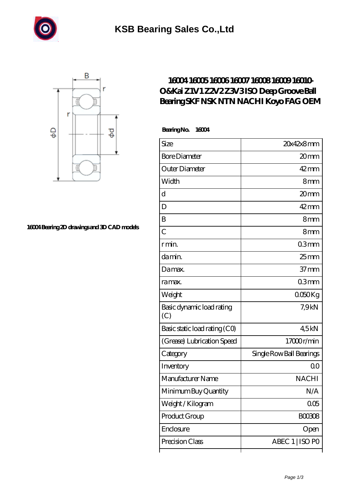



## **[16004 Bearing 2D drawings and 3D CAD models](https://m.androidfamily.net/pic-630800.html)**

## **[16004 16005 16006 16007 16008 16009 16010-](https://m.androidfamily.net/az-630800-16004-16005-16006-16007-16008-16009-16010-o-kai-z1v1-z2v2-z3v3-iso-deep-groove-ball-bearing-skf-nsk-ntn-nachi-koyo-fag-oem.html) [O&Kai Z1V1 Z2V2 Z3V3 ISO Deep Groove Ball](https://m.androidfamily.net/az-630800-16004-16005-16006-16007-16008-16009-16010-o-kai-z1v1-z2v2-z3v3-iso-deep-groove-ball-bearing-skf-nsk-ntn-nachi-koyo-fag-oem.html) [Bearing SKF NSK NTN NACHI Koyo FAG OEM](https://m.androidfamily.net/az-630800-16004-16005-16006-16007-16008-16009-16010-o-kai-z1v1-z2v2-z3v3-iso-deep-groove-ball-bearing-skf-nsk-ntn-nachi-koyo-fag-oem.html)**

 **Bearing No. 16004**

| Size                             | 20x42x8mm                |
|----------------------------------|--------------------------|
| <b>Bore Diameter</b>             | 20mm                     |
| Outer Diameter                   | $42$ mm                  |
| Width                            | 8mm                      |
| d                                | 20 <sub>mm</sub>         |
| D                                | $42 \text{mm}$           |
| B                                | 8mm                      |
| $\overline{C}$                   | 8mm                      |
| r min.                           | 03mm                     |
| da min.                          | $25$ mm                  |
| Damax.                           | $37 \text{mm}$           |
| ra max.                          | 03mm                     |
| Weight                           | 0050Kg                   |
| Basic dynamic load rating<br>(C) | 7,9kN                    |
| Basic static load rating (CO)    | 4.5kN                    |
| (Grease) Lubrication Speed       | 17000r/min               |
| Category                         | Single Row Ball Bearings |
| Inventory                        | Q0                       |
| Manufacturer Name                | <b>NACHI</b>             |
| Minimum Buy Quantity             | N/A                      |
| Weight / Kilogram                | 005                      |
| Product Group                    | BOO3O8                   |
| Enclosure                        | Open                     |
| Precision Class                  | ABEC 1   ISO PO          |
|                                  |                          |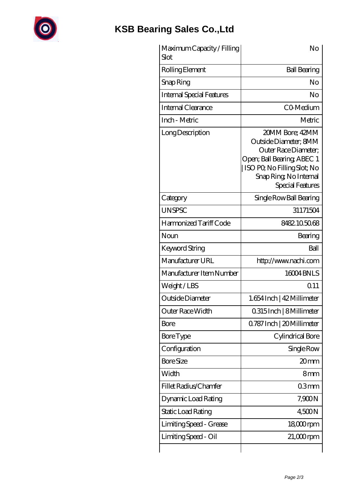

## **[KSB Bearing Sales Co.,Ltd](https://m.androidfamily.net)**

| Maximum Capacity / Filling<br>Slot | No                                                                                                                                                                          |
|------------------------------------|-----------------------------------------------------------------------------------------------------------------------------------------------------------------------------|
| Rolling Element                    | <b>Ball Bearing</b>                                                                                                                                                         |
| Snap Ring                          | No                                                                                                                                                                          |
| <b>Internal Special Features</b>   | No                                                                                                                                                                          |
| Internal Clearance                 | CO-Medium                                                                                                                                                                   |
| Inch - Metric                      | Metric                                                                                                                                                                      |
| Long Description                   | 20MM Bore; 42MM<br>Outside Diameter; 8MM<br>Outer Race Diameter:<br>Open; Ball Bearing; ABEC 1<br>ISO PO, No Filling Slot; No<br>Snap Ring, No Internal<br>Special Features |
| Category                           | Single Row Ball Bearing                                                                                                                                                     |
| <b>UNSPSC</b>                      | 31171504                                                                                                                                                                    |
| Harmonized Tariff Code             | 8482105068                                                                                                                                                                  |
| Noun                               | Bearing                                                                                                                                                                     |
| <b>Keyword String</b>              | Ball                                                                                                                                                                        |
| Manufacturer URL                   | http://www.nachi.com                                                                                                                                                        |
| Manufacturer Item Number           | 16004BNLS                                                                                                                                                                   |
| Weight/LBS                         | Q11                                                                                                                                                                         |
| Outside Diameter                   | 1.654 Inch   42 Millimeter                                                                                                                                                  |
| Outer Race Width                   | 0.315 Inch   8 Millimeter                                                                                                                                                   |
| Bore                               | 0.787 Inch   20 Millimeter                                                                                                                                                  |
| <b>Bore Type</b>                   | Cylindrical Bore                                                                                                                                                            |
| Configuration                      | Single Row                                                                                                                                                                  |
| <b>Bore Size</b>                   | 20mm                                                                                                                                                                        |
| Width                              | 8mm                                                                                                                                                                         |
| Fillet Radius/Chamfer              | 03mm                                                                                                                                                                        |
| Dynamic Load Rating                | 7,900N                                                                                                                                                                      |
| Static Load Rating                 | 4500N                                                                                                                                                                       |
| Limiting Speed - Grease            | $1800$ rpm                                                                                                                                                                  |
| Limiting Speed - Oil               | 21,000rpm                                                                                                                                                                   |
|                                    |                                                                                                                                                                             |